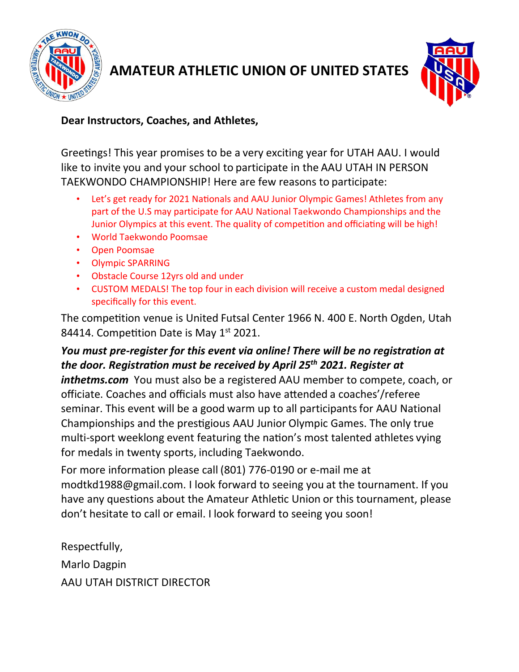

### **AMATEUR ATHLETIC UNION OF UNITED STATES**



#### **Dear Instructors, Coaches, and Athletes,**

Greetings! This year promises to be a very exciting year for UTAH AAU. I would like to invite you and your school to participate in the AAU UTAH IN PERSON TAEKWONDO CHAMPIONSHIP! Here are few reasons to participate:

- Let's get ready for 2021 Nationals and AAU Junior Olympic Games! Athletes from any part of the U.S may participate for AAU National Taekwondo Championships and the Junior Olympics at this event. The quality of competition and officiating will be high!
- World Taekwondo Poomsae
- Open Poomsae
- Olympic SPARRING
- Obstacle Course 12yrs old and under
- CUSTOM MEDALS! The top four in each division will receive a custom medal designed specifically for this event.

The competition venue is United Futsal Center 1966 N. 400 E. North Ogden, Utah 84414. Competition Date is May 1<sup>st</sup> 2021.

#### *You must pre-register for this event via online! There will be no registration at the door. Registra�on must be received by April 25th 2021. Register at*

*inthetms.com* You must also be a registered AAU member to compete, coach, or officiate. Coaches and officials must also have a�ended a coaches'/referee seminar. This event will be a good warm up to all participants for AAU National Championships and the pres�gious AAU Junior Olympic Games. The only true multi-sport weeklong event featuring the nation's most talented athletes vying for medals in twenty sports, including Taekwondo.

For more information please call (801) 776-0190 or e-mail me at modtkd1988@gmail.com. I look forward to seeing you at the tournament. If you have any questions about the Amateur Athletic Union or this tournament, please don't hesitate to call or email. I look forward to seeing you soon!

Respectfully, Marlo Dagpin AAU UTAH DISTRICT DIRECTOR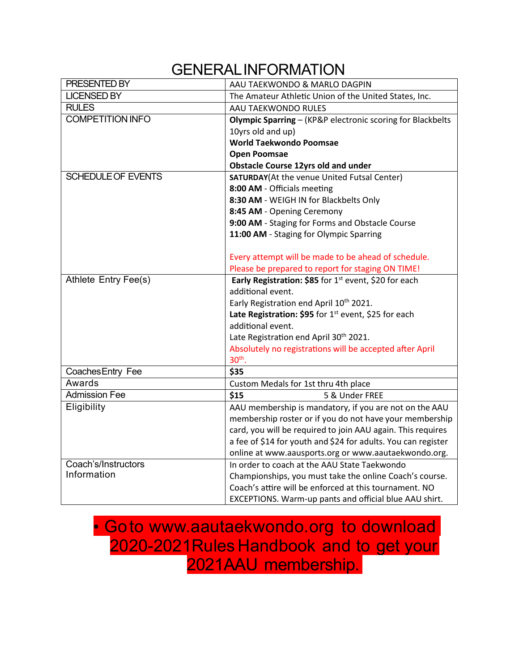#### GENERALINFORMATION

| PRESENTED BY              | AAU TAEKWONDO & MARLO DAGPIN                                  |
|---------------------------|---------------------------------------------------------------|
| <b>LICENSED BY</b>        | The Amateur Athletic Union of the United States, Inc.         |
| <b>RULES</b>              | AAU TAEKWONDO RULES                                           |
| <b>COMPETITION INFO</b>   | Olympic Sparring - (KP&P electronic scoring for Blackbelts    |
|                           | 10yrs old and up)                                             |
|                           | <b>World Taekwondo Poomsae</b>                                |
|                           | <b>Open Poomsae</b>                                           |
|                           | <b>Obstacle Course 12yrs old and under</b>                    |
| <b>SCHEDULE OF EVENTS</b> | SATURDAY(At the venue United Futsal Center)                   |
|                           | 8:00 AM - Officials meeting                                   |
|                           | 8:30 AM - WEIGH IN for Blackbelts Only                        |
|                           | 8:45 AM - Opening Ceremony                                    |
|                           | 9:00 AM - Staging for Forms and Obstacle Course               |
|                           | 11:00 AM - Staging for Olympic Sparring                       |
|                           |                                                               |
|                           | Every attempt will be made to be ahead of schedule.           |
|                           | Please be prepared to report for staging ON TIME!             |
| Athlete Entry Fee(s)      | Early Registration: \$85 for 1st event, \$20 for each         |
|                           | additional event.                                             |
|                           | Early Registration end April 10 <sup>th</sup> 2021.           |
|                           | Late Registration: $$95$ for $1st$ event, \$25 for each       |
|                           | additional event.                                             |
|                           | Late Registration end April 30 <sup>th</sup> 2021.            |
|                           | Absolutely no registrations will be accepted after April      |
|                           | 30 <sup>th</sup> .                                            |
| Coaches Entry Fee         | \$35                                                          |
| Awards                    | Custom Medals for 1st thru 4th place                          |
| <b>Admission Fee</b>      | \$15<br>5 & Under FREE                                        |
| Eligibility               | AAU membership is mandatory, if you are not on the AAU        |
|                           | membership roster or if you do not have your membership       |
|                           | card, you will be required to join AAU again. This requires   |
|                           | a fee of \$14 for youth and \$24 for adults. You can register |
|                           | online at www.aausports.org or www.aautaekwondo.org.          |
| Coach's/Instructors       | In order to coach at the AAU State Taekwondo                  |
| Information               | Championships, you must take the online Coach's course.       |
|                           | Coach's attire will be enforced at this tournament. NO        |
|                           | EXCEPTIONS. Warm-up pants and official blue AAU shirt.        |

### • Goto www.aautaekwondo.org to download 2020-2021Rules Handbook and to get your 2021AAU membership.